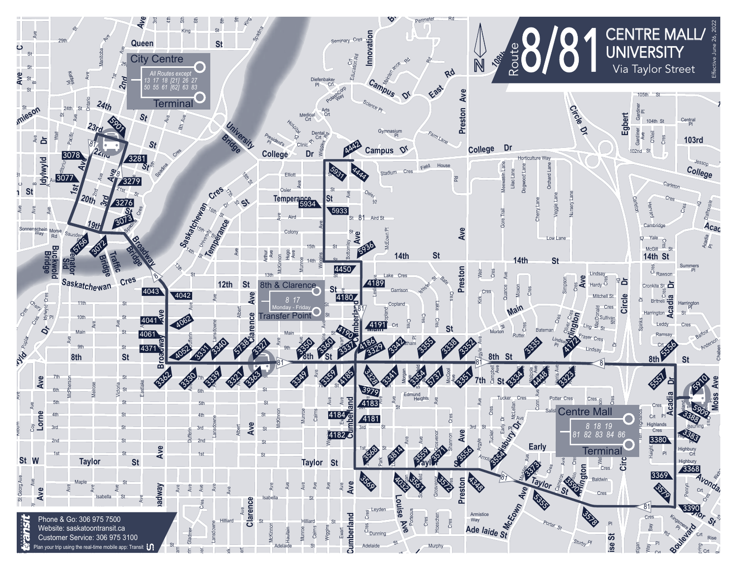